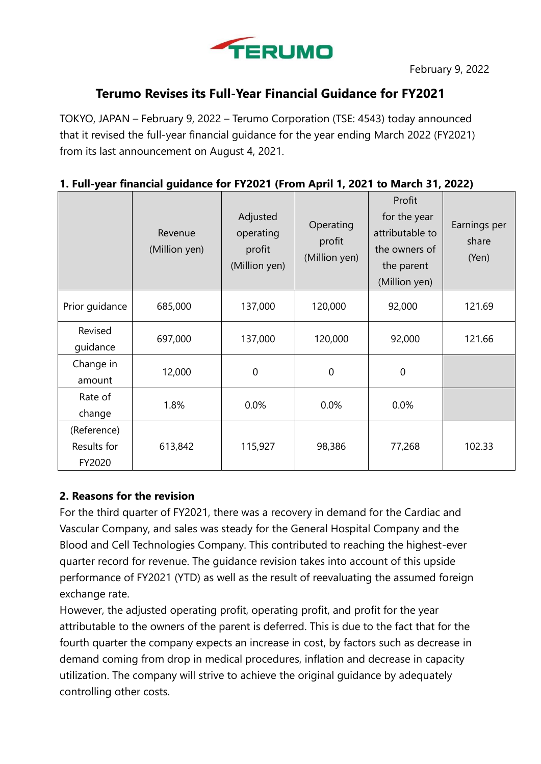

# **Terumo Revises its Full-Year Financial Guidance for FY2021**

TOKYO, JAPAN – February 9, 2022 – Terumo Corporation (TSE: 4543) today announced that it revised the full-year financial guidance for the year ending March 2022 (FY2021) from its last announcement on August 4, 2021.

| —−<br>$\blacksquare$                 |                          |                                                  |                                      |                                                                                           |                                |
|--------------------------------------|--------------------------|--------------------------------------------------|--------------------------------------|-------------------------------------------------------------------------------------------|--------------------------------|
|                                      | Revenue<br>(Million yen) | Adjusted<br>operating<br>profit<br>(Million yen) | Operating<br>profit<br>(Million yen) | Profit<br>for the year<br>attributable to<br>the owners of<br>the parent<br>(Million yen) | Earnings per<br>share<br>(Yen) |
| Prior guidance                       | 685,000                  | 137,000                                          | 120,000                              | 92,000                                                                                    | 121.69                         |
| Revised<br>guidance                  | 697,000                  | 137,000                                          | 120,000                              | 92,000                                                                                    | 121.66                         |
| Change in<br>amount                  | 12,000                   | $\mathbf 0$                                      | $\mathbf 0$                          | $\mathbf 0$                                                                               |                                |
| Rate of<br>change                    | 1.8%                     | 0.0%                                             | 0.0%                                 | 0.0%                                                                                      |                                |
| (Reference)<br>Results for<br>FY2020 | 613,842                  | 115,927                                          | 98,386                               | 77,268                                                                                    | 102.33                         |

# **1. Full-year financial guidance for FY2021 (From April 1, 2021 to March 31, 2022)**

## **2. Reasons for the revision**

For the third quarter of FY2021, there was a recovery in demand for the Cardiac and Vascular Company, and sales was steady for the General Hospital Company and the Blood and Cell Technologies Company. This contributed to reaching the highest-ever quarter record for revenue. The guidance revision takes into account of this upside performance of FY2021 (YTD) as well as the result of reevaluating the assumed foreign exchange rate.

However, the adjusted operating profit, operating profit, and profit for the year attributable to the owners of the parent is deferred. This is due to the fact that for the fourth quarter the company expects an increase in cost, by factors such as decrease in demand coming from drop in medical procedures, inflation and decrease in capacity utilization. The company will strive to achieve the original guidance by adequately controlling other costs.